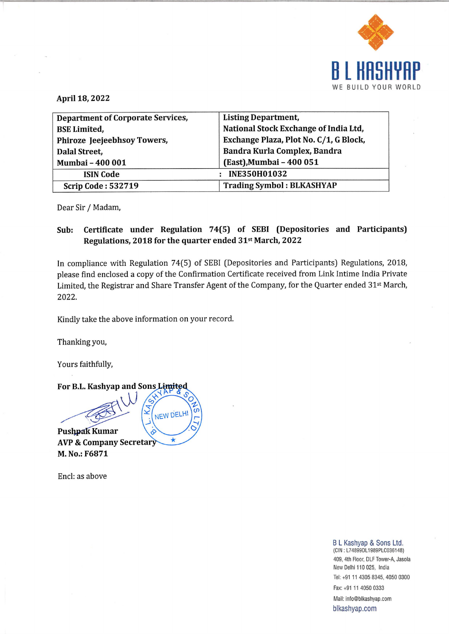

|                                          | WE BUILD YOUR                               |
|------------------------------------------|---------------------------------------------|
| April 18, 2022                           |                                             |
| <b>Department of Corporate Services,</b> | <b>Listing Department,</b>                  |
| <b>BSE Limited,</b>                      | National Stock Exchange of India Ltd,       |
| Phiroze Jeejeebhsoy Towers,              | Exchange Plaza, Plot No. C/1, G Block,      |
| Dalal Street,                            | Bandra Kurla Complex, Bandra                |
| Mumbai - 400 001                         | (East), Mumbai - 400 051                    |
| <b>ISIN Code</b>                         | <b>INE350H01032</b><br>$\ddot{\phantom{a}}$ |
| <b>Scrip Code: 532719</b>                | <b>Trading Symbol: BLKASHYAP</b>            |

Dear Sir / Madam,

## Sub: Certificate under Regulation 74(5) of SEBI (Depositories and Participants) Regulations, 2018 for the quarter ended 31<sup>st</sup> March, 2022

In compliance with Regulation 74(5) of SEBI (Depositories and Participants) Regulations, 2018, please find enclosed a copy of the Confirmation Certificate received from Link Intime India Private Limited, the Registrar and Share Transfer Agent of the Company, for the Quarter ended 31st March, 2022.

Kindly take the above information on your record.

 $\star$ 

Thanking you,

Yours faithfully,



AVP & Company Secreta M. No.: F6871

Encl: as above

<sup>g</sup>blkashyap<br>ap.com<br> B L Kashyap & Sons Ltd.<br>(CIN: L74899DL1989PLC036148) 409, 4th Floor, DLF Tower-A, Jasola New Delhi 110 025, India Tel: +91 11 4305 8345, 4050 0300 Fax: +91 11 4050 0333 Mail: info@blkashyap.com blkashyap.com